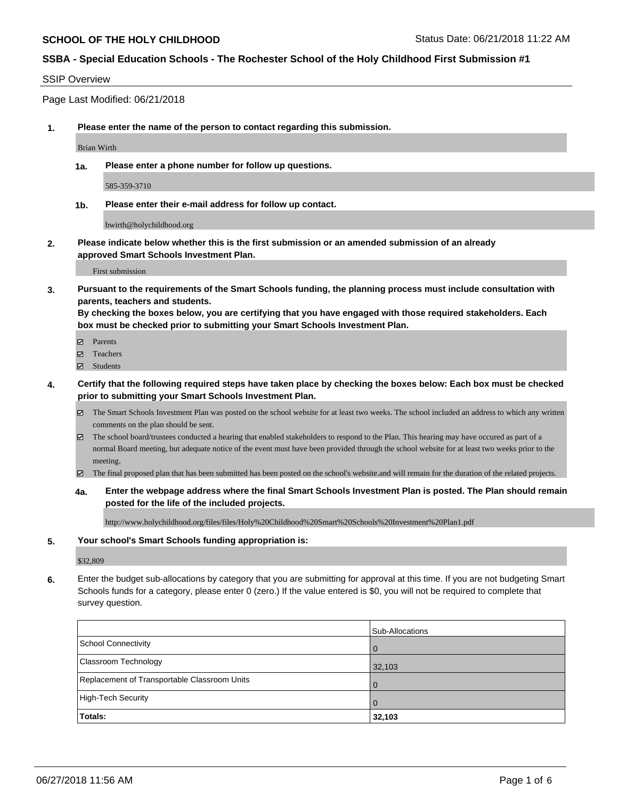### SSIP Overview

Page Last Modified: 06/21/2018

**1. Please enter the name of the person to contact regarding this submission.**

Brian Wirth

**1a. Please enter a phone number for follow up questions.**

585-359-3710

**1b. Please enter their e-mail address for follow up contact.**

bwirth@holychildhood.org

**2. Please indicate below whether this is the first submission or an amended submission of an already approved Smart Schools Investment Plan.**

First submission

**3. Pursuant to the requirements of the Smart Schools funding, the planning process must include consultation with parents, teachers and students.**

**By checking the boxes below, you are certifying that you have engaged with those required stakeholders. Each box must be checked prior to submitting your Smart Schools Investment Plan.**

- $\blacksquare$  Parents
- Teachers
- Students
- **4. Certify that the following required steps have taken place by checking the boxes below: Each box must be checked prior to submitting your Smart Schools Investment Plan.**
	- $\boxtimes$  The Smart Schools Investment Plan was posted on the school website for at least two weeks. The school included an address to which any written comments on the plan should be sent.
	- $\boxtimes$  The school board/trustees conducted a hearing that enabled stakeholders to respond to the Plan. This hearing may have occured as part of a normal Board meeting, but adequate notice of the event must have been provided through the school website for at least two weeks prior to the meeting.
	- The final proposed plan that has been submitted has been posted on the school's website.and will remain for the duration of the related projects.
	- **4a. Enter the webpage address where the final Smart Schools Investment Plan is posted. The Plan should remain posted for the life of the included projects.**

http://www.holychildhood.org/files/files/Holy%20Childhood%20Smart%20Schools%20Investment%20Plan1.pdf

#### **5. Your school's Smart Schools funding appropriation is:**

\$32,809

**6.** Enter the budget sub-allocations by category that you are submitting for approval at this time. If you are not budgeting Smart Schools funds for a category, please enter 0 (zero.) If the value entered is \$0, you will not be required to complete that survey question.

|                                              | Sub-Allocations |
|----------------------------------------------|-----------------|
| School Connectivity                          | <b>O</b>        |
| <b>Classroom Technology</b>                  | 32,103          |
| Replacement of Transportable Classroom Units | $\Omega$        |
| High-Tech Security                           | $\overline{0}$  |
| Totals:                                      | 32,103          |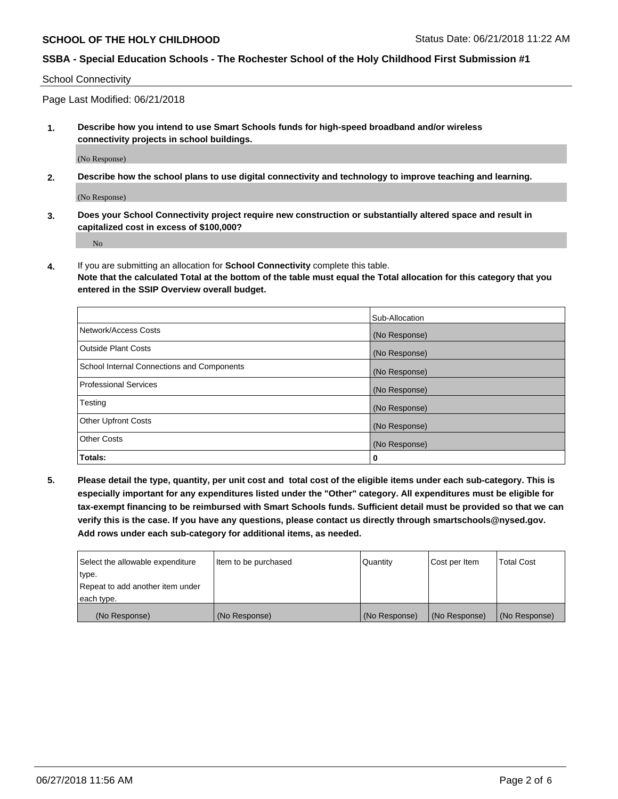School Connectivity

Page Last Modified: 06/21/2018

**1. Describe how you intend to use Smart Schools funds for high-speed broadband and/or wireless connectivity projects in school buildings.**

(No Response)

**2. Describe how the school plans to use digital connectivity and technology to improve teaching and learning.**

(No Response)

**3. Does your School Connectivity project require new construction or substantially altered space and result in capitalized cost in excess of \$100,000?**

No

**4.** If you are submitting an allocation for **School Connectivity** complete this table.

**Note that the calculated Total at the bottom of the table must equal the Total allocation for this category that you entered in the SSIP Overview overall budget.** 

|                                            | Sub-Allocation |
|--------------------------------------------|----------------|
| Network/Access Costs                       | (No Response)  |
| <b>Outside Plant Costs</b>                 | (No Response)  |
| School Internal Connections and Components | (No Response)  |
| Professional Services                      | (No Response)  |
| Testing                                    | (No Response)  |
| <b>Other Upfront Costs</b>                 | (No Response)  |
| <b>Other Costs</b>                         | (No Response)  |
| Totals:                                    | 0              |

**5. Please detail the type, quantity, per unit cost and total cost of the eligible items under each sub-category. This is especially important for any expenditures listed under the "Other" category. All expenditures must be eligible for tax-exempt financing to be reimbursed with Smart Schools funds. Sufficient detail must be provided so that we can verify this is the case. If you have any questions, please contact us directly through smartschools@nysed.gov. Add rows under each sub-category for additional items, as needed.**

| Select the allowable expenditure | Item to be purchased | Quantity      | Cost per Item | <b>Total Cost</b> |
|----------------------------------|----------------------|---------------|---------------|-------------------|
| type.                            |                      |               |               |                   |
| Repeat to add another item under |                      |               |               |                   |
| each type.                       |                      |               |               |                   |
| (No Response)                    | (No Response)        | (No Response) | (No Response) | (No Response)     |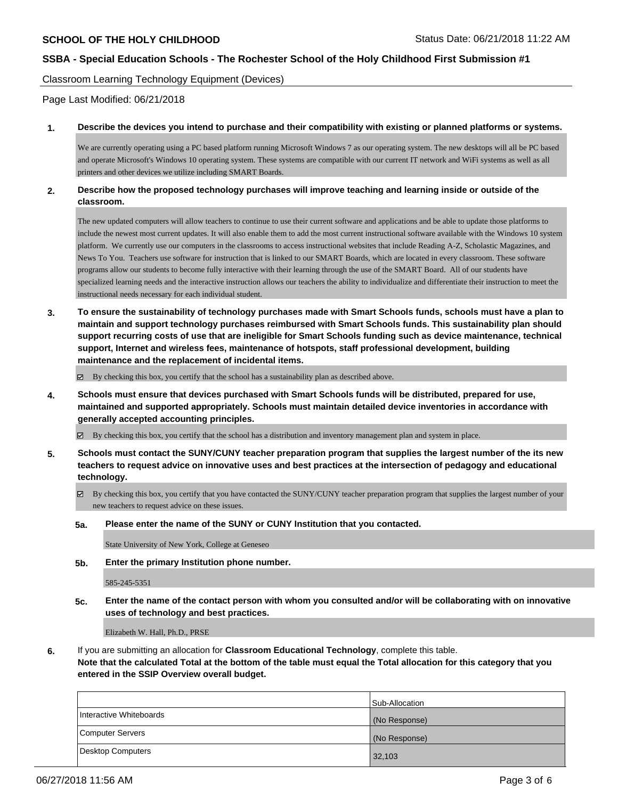Classroom Learning Technology Equipment (Devices)

Page Last Modified: 06/21/2018

### **1. Describe the devices you intend to purchase and their compatibility with existing or planned platforms or systems.**

We are currently operating using a PC based platform running Microsoft Windows 7 as our operating system. The new desktops will all be PC based and operate Microsoft's Windows 10 operating system. These systems are compatible with our current IT network and WiFi systems as well as all printers and other devices we utilize including SMART Boards.

### **2. Describe how the proposed technology purchases will improve teaching and learning inside or outside of the classroom.**

The new updated computers will allow teachers to continue to use their current software and applications and be able to update those platforms to include the newest most current updates. It will also enable them to add the most current instructional software available with the Windows 10 system platform. We currently use our computers in the classrooms to access instructional websites that include Reading A-Z, Scholastic Magazines, and News To You. Teachers use software for instruction that is linked to our SMART Boards, which are located in every classroom. These software programs allow our students to become fully interactive with their learning through the use of the SMART Board. All of our students have specialized learning needs and the interactive instruction allows our teachers the ability to individualize and differentiate their instruction to meet the instructional needs necessary for each individual student.

**3. To ensure the sustainability of technology purchases made with Smart Schools funds, schools must have a plan to maintain and support technology purchases reimbursed with Smart Schools funds. This sustainability plan should support recurring costs of use that are ineligible for Smart Schools funding such as device maintenance, technical support, Internet and wireless fees, maintenance of hotspots, staff professional development, building maintenance and the replacement of incidental items.**

 $\boxtimes$  By checking this box, you certify that the school has a sustainability plan as described above.

**4. Schools must ensure that devices purchased with Smart Schools funds will be distributed, prepared for use, maintained and supported appropriately. Schools must maintain detailed device inventories in accordance with generally accepted accounting principles.**

By checking this box, you certify that the school has a distribution and inventory management plan and system in place.

- **5. Schools must contact the SUNY/CUNY teacher preparation program that supplies the largest number of the its new teachers to request advice on innovative uses and best practices at the intersection of pedagogy and educational technology.**
	- $\boxtimes$  By checking this box, you certify that you have contacted the SUNY/CUNY teacher preparation program that supplies the largest number of your new teachers to request advice on these issues.

#### **5a. Please enter the name of the SUNY or CUNY Institution that you contacted.**

State University of New York, College at Geneseo

**5b. Enter the primary Institution phone number.**

585-245-5351

**5c. Enter the name of the contact person with whom you consulted and/or will be collaborating with on innovative uses of technology and best practices.**

Elizabeth W. Hall, Ph.D., PRSE

**6.** If you are submitting an allocation for **Classroom Educational Technology**, complete this table.

**Note that the calculated Total at the bottom of the table must equal the Total allocation for this category that you entered in the SSIP Overview overall budget.**

|                         | Sub-Allocation |
|-------------------------|----------------|
| Interactive Whiteboards | (No Response)  |
| Computer Servers        | (No Response)  |
| Desktop Computers       | 32,103         |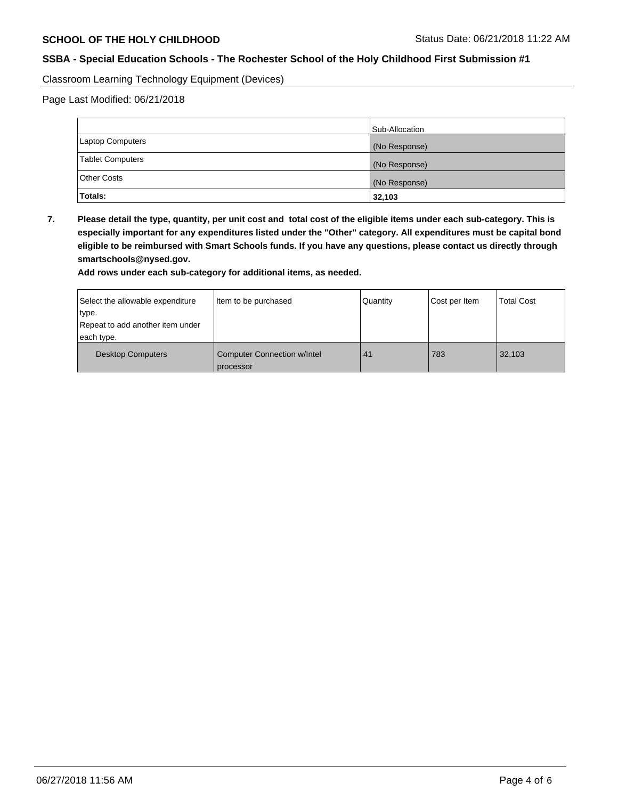Classroom Learning Technology Equipment (Devices)

Page Last Modified: 06/21/2018

|                         | Sub-Allocation |
|-------------------------|----------------|
| Laptop Computers        | (No Response)  |
| <b>Tablet Computers</b> | (No Response)  |
| Other Costs             | (No Response)  |
| Totals:                 | 32,103         |

**7. Please detail the type, quantity, per unit cost and total cost of the eligible items under each sub-category. This is especially important for any expenditures listed under the "Other" category. All expenditures must be capital bond eligible to be reimbursed with Smart Schools funds. If you have any questions, please contact us directly through smartschools@nysed.gov.**

**Add rows under each sub-category for additional items, as needed.**

| Select the allowable expenditure<br>type.      | Item to be purchased                            | Quantity | Cost per Item | <b>Total Cost</b> |
|------------------------------------------------|-------------------------------------------------|----------|---------------|-------------------|
| Repeat to add another item under<br>each type. |                                                 |          |               |                   |
| <b>Desktop Computers</b>                       | <b>Computer Connection w/Intel</b><br>processor | 41       | 783           | 32,103            |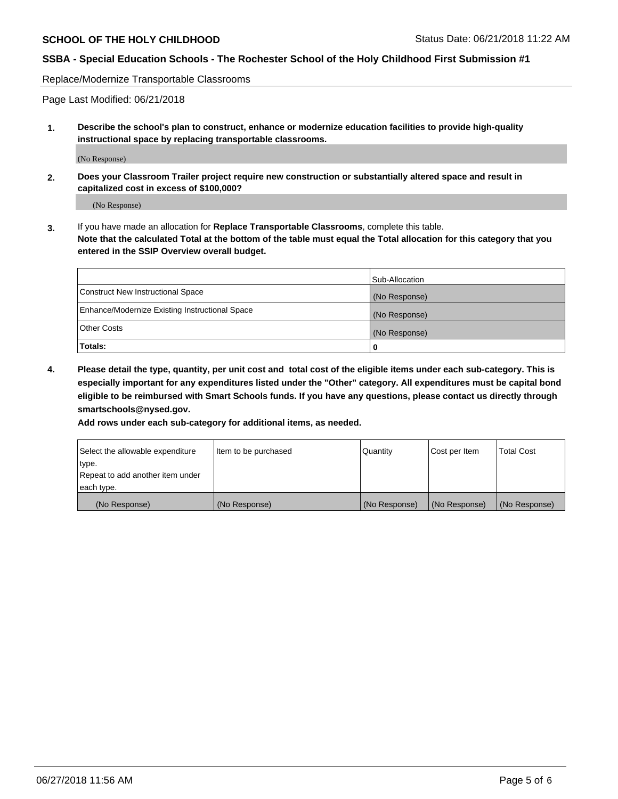Replace/Modernize Transportable Classrooms

Page Last Modified: 06/21/2018

**1. Describe the school's plan to construct, enhance or modernize education facilities to provide high-quality instructional space by replacing transportable classrooms.**

(No Response)

**2. Does your Classroom Trailer project require new construction or substantially altered space and result in capitalized cost in excess of \$100,000?**

(No Response)

**3.** If you have made an allocation for **Replace Transportable Classrooms**, complete this table. **Note that the calculated Total at the bottom of the table must equal the Total allocation for this category that you entered in the SSIP Overview overall budget.**

|                                                | Sub-Allocation |
|------------------------------------------------|----------------|
| Construct New Instructional Space              | (No Response)  |
| Enhance/Modernize Existing Instructional Space | (No Response)  |
| Other Costs                                    | (No Response)  |
| Totals:                                        | 0              |

**4. Please detail the type, quantity, per unit cost and total cost of the eligible items under each sub-category. This is especially important for any expenditures listed under the "Other" category. All expenditures must be capital bond eligible to be reimbursed with Smart Schools funds. If you have any questions, please contact us directly through smartschools@nysed.gov.**

**Add rows under each sub-category for additional items, as needed.**

| Select the allowable expenditure | Item to be purchased | Quantity      | Cost per Item | <b>Total Cost</b> |
|----------------------------------|----------------------|---------------|---------------|-------------------|
| type.                            |                      |               |               |                   |
| Repeat to add another item under |                      |               |               |                   |
| each type.                       |                      |               |               |                   |
| (No Response)                    | (No Response)        | (No Response) | (No Response) | (No Response)     |